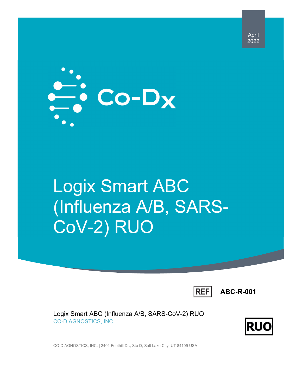April 2022



# Logix Smart ABC (Influenza A/B, SARS-CoV-2) RUO

**REF** 

**ABC-R-001** 

Logix Smart ABC (Influenza A/B, SARS-CoV-2) RUO CO-DIAGNOSTICS, INC.



CO-DIAGNOSTICS, INC. | 2401 Foothill Dr., Ste D, Salt Lake City, UT 84109 USA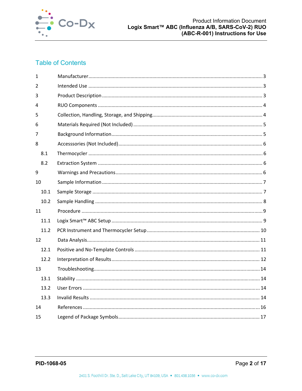

# **Table of Contents**

| $\mathbf{1}$ |  |
|--------------|--|
| 2            |  |
| 3            |  |
| 4            |  |
| 5            |  |
| 6            |  |
| 7            |  |
| 8            |  |
| 8.1          |  |
| 8.2          |  |
| 9            |  |
| 10           |  |
| 10.1         |  |
| 10.2         |  |
| 11           |  |
| 11.1         |  |
|              |  |
| 11.2         |  |
| 12           |  |
| 12.1         |  |
| 12.2         |  |
| 13           |  |
| 13.1         |  |
| 13.2         |  |
| 13.3         |  |
| 14           |  |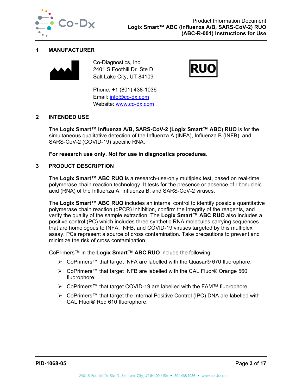

#### **1 MANUFACTURER**



Co-Diagnostics, Inc. 2401 S Foothill Dr. Ste D Salt Lake City, UT 84109

Phone: +1 (801) 438-1036 Email: info@co-dx.com Website: www.co-dx.com



# **2 INTENDED USE**

The **Logix Smart™ Influenza A/B, SARS-CoV-2 (Logix Smart™ ABC) RUO** is for the simultaneous qualitative detection of the Influenza A (INFA), Influenza B (INFB), and SARS-CoV-2 (COVID-19) specific RNA.

**For research use only. Not for use in diagnostics procedures.** 

### **3 PRODUCT DESCRIPTION**

The **Logix Smart™ ABC RUO** is a research-use-only multiplex test, based on real-time polymerase chain reaction technology. It tests for the presence or absence of ribonucleic acid (RNA) of the Influenza A, Influenza B, and SARS-CoV-2 viruses.

The **Logix Smart™ ABC RUO** includes an internal control to identify possible quantitative polymerase chain reaction (qPCR) inhibition, confirm the integrity of the reagents, and verify the quality of the sample extraction. The **Logix Smart™ ABC RUO** also includes a positive control (PC) which includes three synthetic RNA molecules carrying sequences that are homologous to INFA, INFB, and COVID-19 viruses targeted by this multiplex assay. PCs represent a source of cross contamination. Take precautions to prevent and minimize the risk of cross contamination.

CoPrimers™ in the **Logix Smart™ ABC RUO** include the following:

- CoPrimers™ that target INFA are labelled with the Quasar® 670 fluorophore.
- CoPrimers™ that target INFB are labelled with the CAL Fluor® Orange 560 fluorophore.
- CoPrimers™ that target COVID-19 are labelled with the FAM™ fluorophore.
- CoPrimers™ that target the Internal Positive Control (IPC) DNA are labelled with CAL Fluor® Red 610 fluorophore.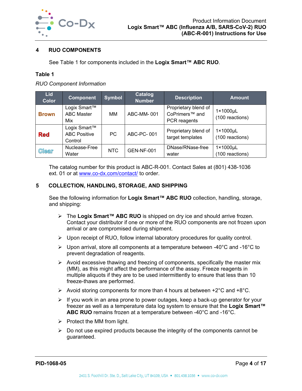

# **4 RUO COMPONENTS**

See Table 1 for components included in the **Logix Smart™ ABC RUO**.

### **Table 1**

*RUO Component Information* 

| <b>Lid</b><br><b>Color</b> | <b>Component</b>                               | Symbol     | <b>Catalog</b><br><b>Number</b> | <b>Description</b>                                                 | <b>Amount</b>               |
|----------------------------|------------------------------------------------|------------|---------------------------------|--------------------------------------------------------------------|-----------------------------|
| <b>Brown</b>               | Logix Smart™<br><b>ABC Master</b><br>Mix       | MМ         | ABC-MM-001                      | Proprietary blend of<br>CoPrimers <sup>™</sup> and<br>PCR reagents | 1×1000µL<br>(100 reactions) |
| <b>Red</b>                 | Logix Smart™<br><b>ABC Positive</b><br>Control | <b>PC</b>  | ABC-PC-001                      | Proprietary blend of<br>target templates                           | 1×1000µL<br>(100 reactions) |
| <b>Clear</b>               | Nuclease-Free<br>Water                         | <b>NTC</b> | <b>GEN-NF-001</b>               | DNase/RNase-free<br>water                                          | 1×1000µL<br>(100 reactions) |

The catalog number for this product is ABC-R-001. Contact Sales at (801) 438-1036 ext. 01 or at www.co-dx.com/contact/ to order.

# **5 COLLECTION, HANDLING, STORAGE, AND SHIPPING**

See the following information for **Logix Smart™ ABC RUO** collection, handling, storage, and shipping:

- The **Logix Smart™ ABC RUO** is shipped on dry ice and should arrive frozen. Contact your distributor if one or more of the RUO components are not frozen upon arrival or are compromised during shipment.
- $\triangleright$  Upon receipt of RUO, follow internal laboratory procedures for quality control.
- $\triangleright$  Upon arrival, store all components at a temperature between -40°C and -16°C to prevent degradation of reagents.
- $\triangleright$  Avoid excessive thawing and freezing of components, specifically the master mix (MM), as this might affect the performance of the assay. Freeze reagents in multiple aliquots if they are to be used intermittently to ensure that less than 10 freeze-thaws are performed.
- $\triangleright$  Avoid storing components for more than 4 hours at between +2°C and +8°C.
- $\triangleright$  If you work in an area prone to power outages, keep a back-up generator for your freezer as well as a temperature data log system to ensure that the **Logix Smart™ ABC RUO** remains frozen at a temperature between -40°C and -16°C.
- $\triangleright$  Protect the MM from light.
- $\triangleright$  Do not use expired products because the integrity of the components cannot be guaranteed.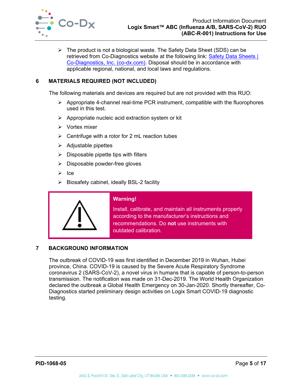

 $\triangleright$  The product is not a biological waste. The Safety Data Sheet (SDS) can be retrieved from Co-Diagnostics website at the following link: Safety Data Sheets | Co-Diagnostics, Inc. (co-dx.com). Disposal should be in accordance with applicable regional, national, and local laws and regulations.

# **6 MATERIALS REQUIRED (NOT INCLUDED)**

The following materials and devices are required but are not provided with this RUO:

- $\triangleright$  Appropriate 4-channel real-time PCR instrument, compatible with the fluorophores used in this test.
- $\triangleright$  Appropriate nucleic acid extraction system or kit
- $\triangleright$  Vortex mixer
- $\triangleright$  Centrifuge with a rotor for 2 mL reaction tubes
- $\triangleright$  Adjustable pipettes
- $\triangleright$  Disposable pipette tips with filters
- $\triangleright$  Disposable powder-free gloves
- $\triangleright$  Ice
- $\triangleright$  Biosafety cabinet, ideally BSL-2 facility



# **Warning!**

Install, calibrate, and maintain all instruments properly according to the manufacturer's instructions and recommendations. Do **not** use instruments with outdated calibration.

#### **7 BACKGROUND INFORMATION**

The outbreak of COVID-19 was first identified in December 2019 in Wuhan, Hubei province, China. COVID-19 is caused by the Severe Acute Respiratory Syndrome coronavirus 2 (SARS-CoV-2), a novel virus in humans that is capable of person-to-person transmission. The notification was made on 31-Dec-2019. The World Health Organization declared the outbreak a Global Health Emergency on 30-Jan-2020. Shortly thereafter, Co-Diagnostics started preliminary design activities on Logix Smart COVID-19 diagnostic testing.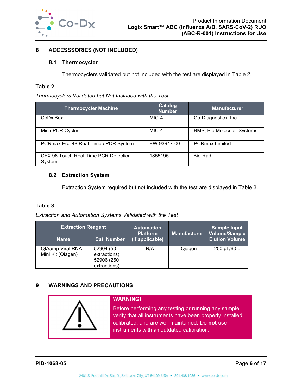

# **8 ACCESSSORIES (NOT INCLUDED)**

# **8.1 Thermocycler**

Thermocyclers validated but not included with the test are displayed in Table 2.

#### **Table 2**

*Thermocyclers Validated but Not Included with the Test* 

| <b>Thermocycler Machine</b>                    | Catalog<br><b>Number</b> | <b>Manufacturer</b>               |
|------------------------------------------------|--------------------------|-----------------------------------|
| CoDx Box                                       | MIC-4                    | Co-Diagnostics, Inc.              |
| Mic qPCR Cycler                                | MIC-4                    | <b>BMS, Bio Molecular Systems</b> |
| PCRmax Eco 48 Real-Time qPCR System            | EW-93947-00              | <b>PCRmax Limited</b>             |
| CFX 96 Touch Real-Time PCR Detection<br>System | 1855195                  | Bio-Rad                           |

# **8.2 Extraction System**

Extraction System required but not included with the test are displayed in Table 3.

#### **Table 3**

*Extraction and Automation Systems Validated with the Test* 

| <b>Extraction Reagent</b>             |                                                          | <b>Automation</b>                  |                     | <b>Sample Input</b>                           |  |
|---------------------------------------|----------------------------------------------------------|------------------------------------|---------------------|-----------------------------------------------|--|
| <b>Name</b>                           | <b>Cat. Number</b>                                       | <b>Platform</b><br>(If applicable) | <b>Manufacturer</b> | <b>Volume/Sample</b><br><b>Elution Volume</b> |  |
| QIAamp Viral RNA<br>Mini Kit (Qiagen) | 52904 (50<br>extractions)<br>52906 (250)<br>extractions) | N/A                                | Qiagen              | 200 µL/60 µL                                  |  |

# **9 WARNINGS AND PRECAUTIONS**

| <b>WARNING!</b>                                                                                                                                                                                                   |
|-------------------------------------------------------------------------------------------------------------------------------------------------------------------------------------------------------------------|
| Before performing any testing or running any sample,<br>verify that all instruments have been properly installed,<br>calibrated, and are well maintained. Do not use<br>instruments with an outdated calibration. |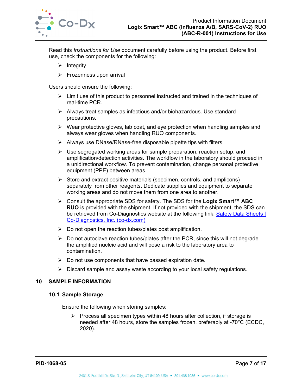

Read this *Instructions for Use* document carefully before using the product. Before first use, check the components for the following:

- $\triangleright$  Integrity
- $\triangleright$  Frozenness upon arrival

Users should ensure the following:

- $\triangleright$  Limit use of this product to personnel instructed and trained in the techniques of real-time PCR.
- Always treat samples as infectious and/or biohazardous. Use standard precautions.
- $\triangleright$  Wear protective gloves, lab coat, and eye protection when handling samples and always wear gloves when handling RUO components.
- $\triangleright$  Always use DNase/RNase-free disposable pipette tips with filters.
- $\triangleright$  Use segregated working areas for sample preparation, reaction setup, and amplification/detection activities. The workflow in the laboratory should proceed in a unidirectional workflow. To prevent contamination, change personal protective equipment (PPE) between areas.
- $\triangleright$  Store and extract positive materials (specimen, controls, and amplicons) separately from other reagents. Dedicate supplies and equipment to separate working areas and do not move them from one area to another.
- Consult the appropriate SDS for safety. The SDS for the **Logix Smart™ ABC RUO** is provided with the shipment. If not provided with the shipment, the SDS can be retrieved from Co-Diagnostics website at the following link: Safety Data Sheets | Co-Diagnostics, Inc. (co-dx.com)
- $\triangleright$  Do not open the reaction tubes/plates post amplification.
- $\triangleright$  Do not autoclave reaction tubes/plates after the PCR, since this will not degrade the amplified nucleic acid and will pose a risk to the laboratory area to contamination.
- $\triangleright$  Do not use components that have passed expiration date.
- $\triangleright$  Discard sample and assay waste according to your local safety regulations.

#### **10 SAMPLE INFORMATION**

#### **10.1 Sample Storage**

Ensure the following when storing samples:

 $\triangleright$  Process all specimen types within 48 hours after collection, if storage is needed after 48 hours, store the samples frozen, preferably at -70°C (ECDC, 2020).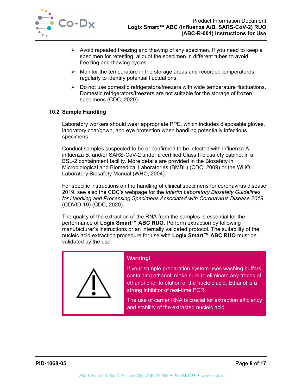

- $\triangleright$  Avoid repeated freezing and thawing of any specimen. If you need to keep a specimen for retesting, aliquot the specimen in different tubes to avoid freezing and thawing cycles.
- $\triangleright$  Monitor the temperature in the storage areas and recorded temperatures regularly to identify potential fluctuations.
- $\triangleright$  Do not use domestic refrigerators/freezers with wide temperature fluctuations. Domestic refrigerators/freezers are not suitable for the storage of frozen specimens (CDC, 2020).

### **10.2 Sample Handling**

Laboratory workers should wear appropriate PPE, which includes disposable gloves, laboratory coat/gown, and eye protection when handling potentially infectious specimens.

Conduct samples suspected to be or confirmed to be infected with influenza A, influenza B, and/or SARS-CoV-2 under a certified Class II biosafety cabinet in a BSL-2 containment facility. More details are provided in the Biosafety in Microbiological and Biomedical Laboratories (BMBL) (CDC, 2009) or the WHO Laboratory Biosafety Manual (WHO, 2004).

For specific instructions on the handling of clinical specimens for coronavirus disease 2019, see also the CDC's webpage for the *Interim Laboratory Biosafety Guidelines for Handling and Processing Specimens Associated with Coronavirus Disease 2019* (COVID-19) (CDC, 2020).

The quality of the extraction of the RNA from the samples is essential for the performance of **Logix Smart™ ABC RUO**. Perform extraction by following manufacturer's instructions or an internally validated protocol. The suitability of the nucleic acid extraction procedure for use with **Logix Smart™ ABC RUO** must be validated by the user.



# **Warning!**

If your sample preparation system uses washing buffers containing ethanol, make sure to eliminate any traces of ethanol prior to elution of the nucleic acid. Ethanol is a strong inhibitor of real-time PCR.

The use of carrier RNA is crucial for extraction efficiency and stability of the extracted nucleic acid.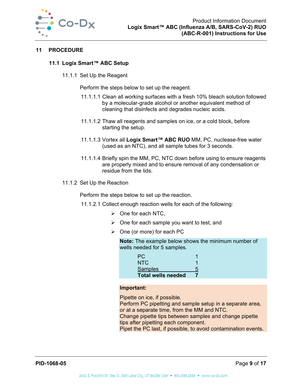

# **11 PROCEDURE**

# **11.1 Logix Smart™ ABC Setup**

11.1.1 Set Up the Reagent

Perform the steps below to set up the reagent.

- 11.1.1.1 Clean all working surfaces with a fresh 10% bleach solution followed by a molecular-grade alcohol or another equivalent method of cleaning that disinfects and degrades nucleic acids.
- 11.1.1.2 Thaw all reagents and samples on ice, or a cold block, before starting the setup.
- 11.1.1.3 Vortex all **Logix Smart™ ABC RUO** MM, PC, nuclease-free water (used as an NTC), and all sample tubes for 3 seconds.
- 11.1.1.4 Briefly spin the MM, PC, NTC down before using to ensure reagents are properly mixed and to ensure removal of any condensation or residue from the lids.
- 11.1.2 Set Up the Reaction

Perform the steps below to set up the reaction.

- 11.1.2.1 Collect enough reaction wells for each of the following:
	- $\triangleright$  One for each NTC,
	- $\triangleright$  One for each sample you want to test, and
	- $\triangleright$  One (or more) for each PC

**Note:** The example below shows the minimum number of wells needed for 5 samples.

| PC.                       |  |
|---------------------------|--|
| NTC.                      |  |
| <b>Samples</b>            |  |
| <b>Total wells needed</b> |  |

#### **Important:**

Pipette on ice, if possible.

Perform PC pipetting and sample setup in a separate area, or at a separate time, from the MM and NTC.

Change pipette tips between samples and change pipette tips after pipetting each component.

Pipet the PC last, if possible, to avoid contamination events.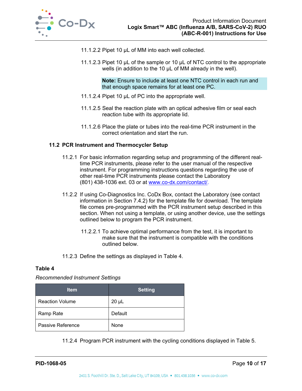

- 11.1.2.2 Pipet 10 µL of MM into each well collected.
- 11.1.2.3 Pipet 10 µL of the sample or 10 µL of NTC control to the appropriate wells (in addition to the 10 µL of MM already in the well).

**Note:** Ensure to include at least one NTC control in each run and that enough space remains for at least one PC.

- 11.1.2.4 Pipet 10 µL of PC into the appropriate well.
- 11.1.2.5 Seal the reaction plate with an optical adhesive film or seal each reaction tube with its appropriate lid.
- 11.1.2.6 Place the plate or tubes into the real-time PCR instrument in the correct orientation and start the run.

### **11.2 PCR Instrument and Thermocycler Setup**

- 11.2.1 For basic information regarding setup and programming of the different realtime PCR instruments, please refer to the user manual of the respective instrument. For programming instructions questions regarding the use of other real-time PCR instruments please contact the Laboratory (801) 438-1036 ext. 03 or at www.co-dx.com/contact/.
- 11.2.2 If using Co-Diagnostics Inc. CoDx Box, contact the Laboratory (see contact information in Section 7.4.2) for the template file for download. The template file comes pre-programmed with the PCR instrument setup described in this section. When not using a template, or using another device, use the settings outlined below to program the PCR instrument.
	- 11.2.2.1 To achieve optimal performance from the test, it is important to make sure that the instrument is compatible with the conditions outlined below.
- 11.2.3 Define the settings as displayed in Table 4.

#### **Table 4**

#### *Recommended Instrument Settings*

| <b>Item</b>            | <b>Setting</b> |
|------------------------|----------------|
| <b>Reaction Volume</b> | $20 \mu L$     |
| Ramp Rate              | Default        |
| Passive Reference      | None           |

11.2.4 Program PCR instrument with the cycling conditions displayed in Table 5.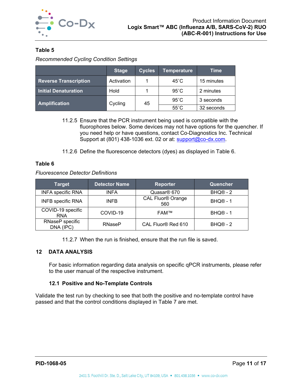

# **Table 5**

*Recommended Cycling Condition Settings* 

|                              | <b>Stage</b> | <b>Cycles</b> | <b>Temperature</b> | Time       |
|------------------------------|--------------|---------------|--------------------|------------|
| <b>Reverse Transcription</b> | Activation   |               | $45^{\circ}$ C     | 15 minutes |
| <b>Initial Denaturation</b>  | Hold         |               | $95^{\circ}$ C     | 2 minutes  |
| <b>Amplification</b>         | Cycling      | 45            | $95^{\circ}$ C     | 3 seconds  |
|                              |              |               | $55^{\circ}$ C     | 32 seconds |

- 11.2.5 Ensure that the PCR instrument being used is compatible with the fluorophores below. Some devices may not have options for the quencher. If you need help or have questions, contact Co-Diagnostics Inc. Technical Support at (801) 438-1036 ext. 02 or at: support@co-dx.com.
- 11.2.6 Define the fluorescence detectors (dyes) as displayed in Table 6.

# **Table 6**

*Fluorescence Detector Definitions* 

| <b>Target</b>                   | <b>Detector Name</b> | <b>Reporter</b>          | Quencher             |
|---------------------------------|----------------------|--------------------------|----------------------|
| <b>INFA specific RNA</b>        | <b>INFA</b>          | Quasar <sup>®</sup> 670  | BHQ <sup>®</sup> - 2 |
| <b>INFB specific RNA</b>        | <b>INFB</b>          | CAL Fluor® Orange<br>560 | $BHQ@ - 1$           |
| COVID-19 specific<br><b>RNA</b> | COVID-19             | FAM™                     | $BHQ@ - 1$           |
| RNaseP specific<br>DNA (IPC)    | <b>RNaseP</b>        | CAL Fluor® Red 610       | $BHQ@ - 2$           |

11.2.7 When the run is finished, ensure that the run file is saved.

# **12 DATA ANALYSIS**

For basic information regarding data analysis on specific qPCR instruments, please refer to the user manual of the respective instrument.

# **12.1 Positive and No-Template Controls**

Validate the test run by checking to see that both the positive and no-template control have passed and that the control conditions displayed in Table 7 are met.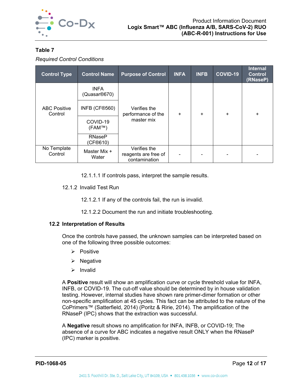

# **Table 7**

*Required Control Conditions* 

| <b>Control Type</b>            | <b>Control Name</b>                      | <b>Purpose of Control</b>                             | <b>INFA</b> | <b>INFB</b> | COVID-19  | <b>Internal</b><br><b>Control</b><br>(RNaseP) |
|--------------------------------|------------------------------------------|-------------------------------------------------------|-------------|-------------|-----------|-----------------------------------------------|
|                                | <b>INFA</b><br>(Quasar <sup>®670</sup> ) |                                                       |             |             |           |                                               |
| <b>ABC Positive</b><br>Control | INFB (CF®560)                            | Verifies the<br>performance of the                    | $\ddot{}$   | $\ddot{}$   | $\ddot{}$ | ÷                                             |
|                                | COVID-19<br>$(FAM^{TM})$                 | master mix                                            |             |             |           |                                               |
|                                | <b>RNaseP</b><br>(CF®610)                |                                                       |             |             |           |                                               |
| No Template<br>Control         | Master Mix +<br>Water                    | Verifies the<br>reagents are free of<br>contamination |             |             |           |                                               |

12.1.1.1 If controls pass, interpret the sample results.

12.1.2 Invalid Test Run

12.1.2.1 If any of the controls fail, the run is invalid.

12.1.2.2 Document the run and initiate troubleshooting.

# **12.2 Interpretation of Results**

Once the controls have passed, the unknown samples can be interpreted based on one of the following three possible outcomes:

- $\triangleright$  Positive
- $\triangleright$  Negative
- $\triangleright$  Invalid

A **Positive** result will show an amplification curve or cycle threshold value for INFA, INFB, or COVID-19. The cut-off value should be determined by in house validation testing. However, internal studies have shown rare primer-dimer formation or other non-specific amplification at 45 cycles. This fact can be attributed to the nature of the CoPrimers™ (Satterfield, 2014) (Poritz & Ririe, 2014). The amplification of the RNaseP (IPC) shows that the extraction was successful.

A **Negative** result shows no amplification for INFA, INFB, or COVID-19; The absence of a curve for ABC indicates a negative result ONLY when the RNaseP (IPC) marker is positive.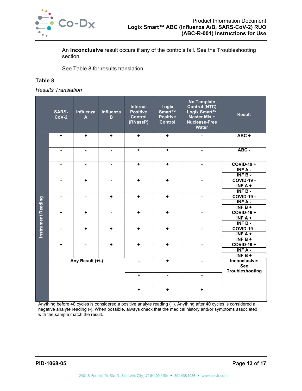

An **Inconclusive** result occurs if any of the controls fail. See the Troubleshooting section.

See Table 8 for results translation.

# **Table 8**

*Results Translation* 

|                           | <b>SARS-</b><br>$CoV-2$ | Influenza<br>$\blacktriangle$ | Influenza<br>$\mathbf B$ | Internal<br><b>Positive</b><br><b>Control</b><br>(RNaseP) | Logix<br>Smart™<br><b>Positive</b><br><b>Control</b> | <b>No Template</b><br>Control (NTC)<br>Logix Smart™<br>Master Mix +<br><b>Nuclease-Free</b><br>Water | <b>Result</b>                                                |
|---------------------------|-------------------------|-------------------------------|--------------------------|-----------------------------------------------------------|------------------------------------------------------|------------------------------------------------------------------------------------------------------|--------------------------------------------------------------|
|                           | ٠                       | ٠                             | $\ddag$                  | $\ddag$                                                   | ٠                                                    |                                                                                                      | $ABC +$                                                      |
|                           |                         |                               | $\blacksquare$           | $\ddot{}$                                                 | ÷                                                    |                                                                                                      | ABC -                                                        |
|                           | ٠                       |                               |                          | $\ddot{}$                                                 | $\ddot{}$                                            |                                                                                                      | <b>COVID-19 +</b><br>INF A -<br>$INFB -$                     |
|                           | $\blacksquare$          | $\ddot{}$                     | $\blacksquare$           | $\ddot{}$                                                 | $\ddot{}$                                            |                                                                                                      | <b>COVID-19 -</b><br>INF $A +$<br>$INFB -$                   |
|                           | ٠                       | ٠                             | $\ddot{}$                | $\ddot{}$                                                 | $\ddot{}$                                            | ٠                                                                                                    | <b>COVID-19 -</b><br>$INF A -$<br>INF $B +$                  |
| <b>Instrument Reading</b> | $\ddot{}$               | $\ddot{}$                     | $\blacksquare$           | $\ddot{}$                                                 | $\ddot{}$                                            | $\blacksquare$                                                                                       | <b>COVID-19 +</b><br>$\overline{\text{INF A}}$ +<br>$INFB -$ |
|                           | -                       | ٠                             | ÷                        | $\ddot{}$                                                 | $\ddot{}$                                            | $\qquad \qquad \blacksquare$                                                                         | <b>COVID-19 -</b><br>INF $A +$<br>INF $B +$                  |
|                           | ٠                       | -                             | $\ddot{}$                | $\ddot{}$                                                 | $\ddot{}$                                            | -                                                                                                    | <b>COVID-19 +</b><br>INF A -<br>INF $B +$                    |
|                           |                         | Any Result (+/-)              |                          | ä,                                                        | $\ddot{}$                                            |                                                                                                      | Inconclusive:<br><b>See</b><br>Troubleshooting               |
|                           |                         |                               |                          | ٠                                                         | $\blacksquare$                                       | $\overline{\phantom{0}}$                                                                             |                                                              |
|                           |                         |                               |                          | $\ddot{}$                                                 | ٠                                                    | ٠                                                                                                    |                                                              |

Anything before 40 cycles is considered a positive analyte reading (+). Anything after 40 cycles is considered a negative analyte reading (-). When possible, always check that the medical history and/or symptoms associated with the sample match the result.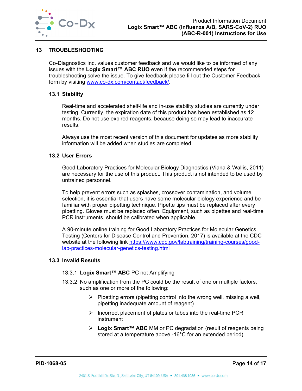

# **13 TROUBLESHOOTING**

Co-Diagnostics Inc. values customer feedback and we would like to be informed of any issues with the **Logix Smart™ ABC RUO** even if the recommended steps for troubleshooting solve the issue. To give feedback please fill out the Customer Feedback form by visiting www.co-dx.com/contact/feedback/.

# **13.1 Stability**

Real-time and accelerated shelf-life and in-use stability studies are currently under testing. Currently, the expiration date of this product has been established as 12 months. Do not use expired reagents, because doing so may lead to inaccurate results.

Always use the most recent version of this document for updates as more stability information will be added when studies are completed.

#### **13.2 User Errors**

Good Laboratory Practices for Molecular Biology Diagnostics (Viana & Wallis, 2011) are necessary for the use of this product. This product is not intended to be used by untrained personnel.

To help prevent errors such as splashes, crossover contamination, and volume selection, it is essential that users have some molecular biology experience and be familiar with proper pipetting technique. Pipette tips must be replaced after every pipetting. Gloves must be replaced often. Equipment, such as pipettes and real-time PCR instruments, should be calibrated when applicable.

A 90-minute online training for Good Laboratory Practices for Molecular Genetics Testing (Centers for Disease Control and Prevention, 2017) is available at the CDC website at the following link https://www.cdc.gov/labtraining/training-courses/goodlab-practices-molecular-genetics-testing.html

#### **13.3 Invalid Results**

### 13.3.1 **Logix Smart™ ABC** PC not Amplifying

- 13.3.2 No amplification from the PC could be the result of one or multiple factors, such as one or more of the following:
	- $\triangleright$  Pipetting errors (pipetting control into the wrong well, missing a well, pipetting inadequate amount of reagent)
	- $\triangleright$  Incorrect placement of plates or tubes into the real-time PCR instrument
	- **Logix Smart™ ABC** MM or PC degradation (result of reagents being stored at a temperature above -16°C for an extended period)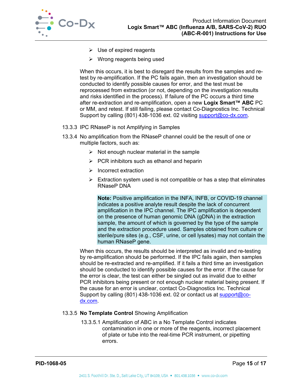

- $\triangleright$  Use of expired reagents
- $\triangleright$  Wrong reagents being used

When this occurs, it is best to disregard the results from the samples and retest by re-amplification. If the PC fails again, then an investigation should be conducted to identify possible causes for error, and the test must be reprocessed from extraction (or not, depending on the investigation results and risks identified in the process). If failure of the PC occurs a third time after re-extraction and re-amplification, open a new **Logix Smart™ ABC** PC or MM, and retest. If still failing, please contact Co-Diagnostics Inc. Technical Support by calling (801) 438-1036 ext. 02 visiting support@co-dx.com.

- 13.3.3 IPC RNaseP is not Amplifying in Samples
- 13.3.4 No amplification from the RNaseP channel could be the result of one or multiple factors, such as:
	- $\triangleright$  Not enough nuclear material in the sample
	- $\triangleright$  PCR inhibitors such as ethanol and heparin
	- $\blacktriangleright$  Incorrect extraction
	- $\triangleright$  Extraction system used is not compatible or has a step that eliminates RNaseP DNA

**Note:** Positive amplification in the INFA, INFB, or COVID-19 channel indicates a positive analyte result despite the lack of concurrent amplification in the IPC channel. The IPC amplification is dependent on the presence of human genomic DNA (gDNA) in the extraction sample, the amount of which is governed by the type of the sample and the extraction procedure used. Samples obtained from culture or sterile/pure sites (e.g., CSF, urine, or cell lysates) may not contain the human RNaseP gene.

When this occurs, the results should be interpreted as invalid and re-testing by re-amplification should be performed. If the IPC fails again, then samples should be re-extracted and re-amplified. If it fails a third time an investigation should be conducted to identify possible causes for the error. If the cause for the error is clear, the test can either be singled out as invalid due to either PCR inhibitors being present or not enough nuclear material being present. If the cause for an error is unclear, contact Co-Diagnostics Inc. Technical Support by calling (801) 438-1036 ext. 02 or contact us at support@codx.com.

#### 13.3.5 **No Template Control** Showing Amplification

13.3.5.1 Amplification of ABC in a No Template Control indicates contamination in one or more of the reagents, incorrect placement of plate or tube into the real-time PCR instrument, or pipetting errors.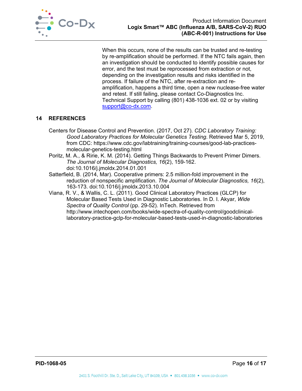

When this occurs, none of the results can be trusted and re-testing by re-amplification should be performed. If the NTC fails again, then an investigation should be conducted to identify possible causes for error, and the test must be reprocessed from extraction or not, depending on the investigation results and risks identified in the process. If failure of the NTC, after re-extraction and reamplification, happens a third time, open a new nuclease-free water and retest. If still failing, please contact Co-Diagnostics Inc. Technical Support by calling (801) 438-1036 ext. 02 or by visiting support@co-dx.com.

# **14 REFERENCES**

- Centers for Disease Control and Prevention. (2017, Oct 27). *CDC Laboratory Training: Good Laboratory Practices for Molecular Genetics Testing*. Retrieved Mar 5, 2019, from CDC: https://www.cdc.gov/labtraining/training-courses/good-lab-practicesmolecular-genetics-testing.html
- Poritz, M. A., & Ririe, K. M. (2014). Getting Things Backwards to Prevent Primer Dimers. *The Journal of Molecular Diagnostics, 16*(2), 159-162. doi:10.1016/j.jmoldx.2014.01.001
- Satterfield, B. (2014, Mar). Cooperative primers: 2.5 million-fold improvement in the reduction of nonspecific amplification. *The Journal of Molecular Diagnostics, 16*(2), 163-173. doi:10.1016/j.jmoldx.2013.10.004
- Viana, R. V., & Wallis, C. L. (2011). Good Clinical Laboratory Practices (GLCP) for Molecular Based Tests Used in Diagnostic Laboratories. In D. I. Akyar, *Wide Spectra of Quality Control* (pp. 29-52). InTech. Retrieved from http://www.intechopen.com/books/wide-spectra-of-quality-control/goodclinicallaboratory-practice-gclp-for-molecular-based-tests-used-in-diagnostic-laboratories